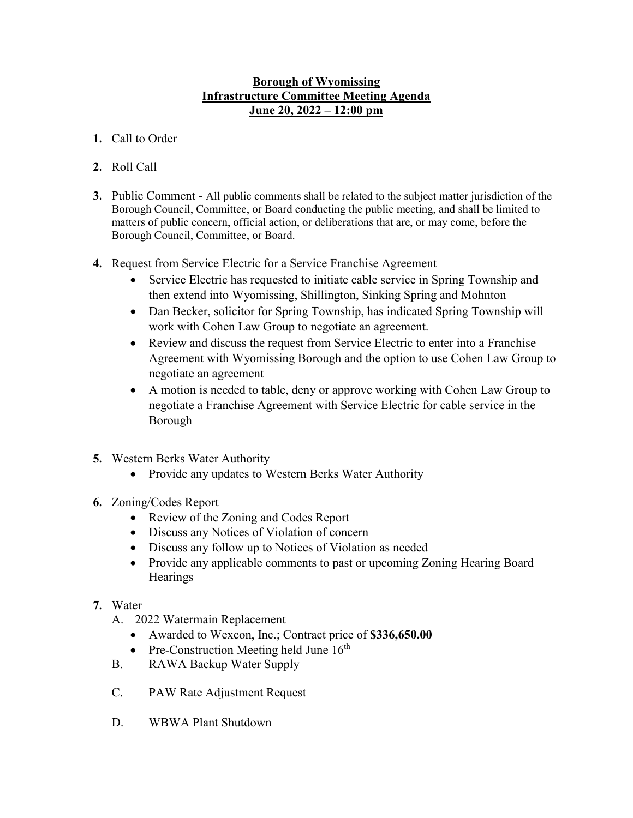## **Borough of Wyomissing Infrastructure Committee Meeting Agenda June 20, 2022 – 12:00 pm**

- **1.** Call to Order
- **2.** Roll Call
- **3.** Public Comment All public comments shall be related to the subject matter jurisdiction of the Borough Council, Committee, or Board conducting the public meeting, and shall be limited to matters of public concern, official action, or deliberations that are, or may come, before the Borough Council, Committee, or Board.
- **4.** Request from Service Electric for a Service Franchise Agreement
	- Service Electric has requested to initiate cable service in Spring Township and then extend into Wyomissing, Shillington, Sinking Spring and Mohnton
	- Dan Becker, solicitor for Spring Township, has indicated Spring Township will work with Cohen Law Group to negotiate an agreement.
	- Review and discuss the request from Service Electric to enter into a Franchise Agreement with Wyomissing Borough and the option to use Cohen Law Group to negotiate an agreement
	- A motion is needed to table, deny or approve working with Cohen Law Group to negotiate a Franchise Agreement with Service Electric for cable service in the Borough
- **5.** Western Berks Water Authority
	- Provide any updates to Western Berks Water Authority
- **6.** Zoning/Codes Report
	- Review of the Zoning and Codes Report
	- Discuss any Notices of Violation of concern
	- Discuss any follow up to Notices of Violation as needed
	- Provide any applicable comments to past or upcoming Zoning Hearing Board **Hearings**
- **7.** Water
	- A. 2022 Watermain Replacement
		- Awarded to Wexcon, Inc.; Contract price of **\$336,650.00**
		- Pre-Construction Meeting held June  $16<sup>th</sup>$
	- B. RAWA Backup Water Supply
	- C. PAW Rate Adjustment Request
	- D. WBWA Plant Shutdown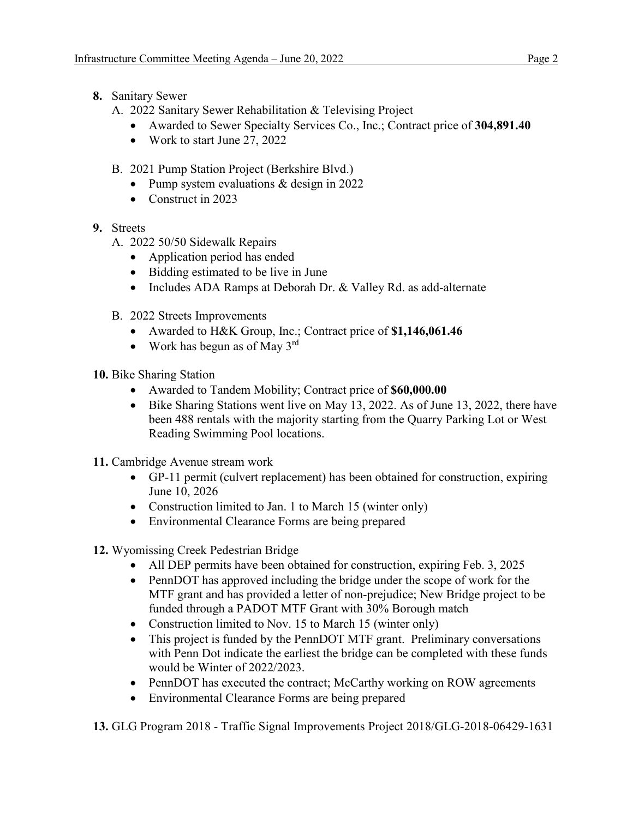- **8.** Sanitary Sewer
	- A. 2022 Sanitary Sewer Rehabilitation & Televising Project
		- Awarded to Sewer Specialty Services Co., Inc.; Contract price of **304,891.40**
		- Work to start June 27, 2022
	- B. 2021 Pump Station Project (Berkshire Blvd.)
		- Pump system evaluations & design in 2022
		- Construct in 2023
- **9.** Streets
	- A. 2022 50/50 Sidewalk Repairs
		- Application period has ended
		- Bidding estimated to be live in June
		- Includes ADA Ramps at Deborah Dr. & Valley Rd. as add-alternate
	- B. 2022 Streets Improvements
		- Awarded to H&K Group, Inc.; Contract price of **\$1,146,061.46**
		- Work has begun as of May  $3^{\text{rd}}$
- **10.** Bike Sharing Station
	- Awarded to Tandem Mobility; Contract price of **\$60,000.00**
	- Bike Sharing Stations went live on May 13, 2022. As of June 13, 2022, there have been 488 rentals with the majority starting from the Quarry Parking Lot or West Reading Swimming Pool locations.
- **11.** Cambridge Avenue stream work
	- GP-11 permit (culvert replacement) has been obtained for construction, expiring June 10, 2026
	- Construction limited to Jan. 1 to March 15 (winter only)
	- Environmental Clearance Forms are being prepared
- **12.** Wyomissing Creek Pedestrian Bridge
	- All DEP permits have been obtained for construction, expiring Feb. 3, 2025
	- PennDOT has approved including the bridge under the scope of work for the MTF grant and has provided a letter of non-prejudice; New Bridge project to be funded through a PADOT MTF Grant with 30% Borough match
	- Construction limited to Nov. 15 to March 15 (winter only)
	- This project is funded by the PennDOT MTF grant. Preliminary conversations with Penn Dot indicate the earliest the bridge can be completed with these funds would be Winter of 2022/2023.
	- PennDOT has executed the contract; McCarthy working on ROW agreements
	- Environmental Clearance Forms are being prepared

**13.** GLG Program 2018 - Traffic Signal Improvements Project 2018/GLG-2018-06429-1631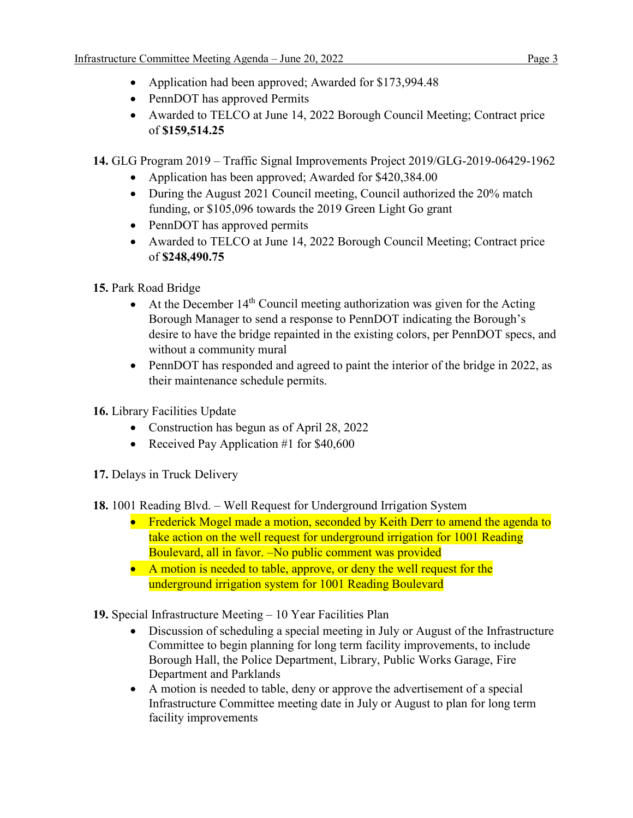- Application had been approved; Awarded for \$173,994.48
- PennDOT has approved Permits
- Awarded to TELCO at June 14, 2022 Borough Council Meeting; Contract price of **\$159,514.25**
- **14.** GLG Program 2019 Traffic Signal Improvements Project 2019/GLG-2019-06429-1962
	- Application has been approved; Awarded for \$420,384.00
	- During the August 2021 Council meeting, Council authorized the 20% match funding, or \$105,096 towards the 2019 Green Light Go grant
	- PennDOT has approved permits
	- Awarded to TELCO at June 14, 2022 Borough Council Meeting; Contract price of **\$248,490.75**
- **15.** Park Road Bridge
	- At the December  $14<sup>th</sup>$  Council meeting authorization was given for the Acting Borough Manager to send a response to PennDOT indicating the Borough's desire to have the bridge repainted in the existing colors, per PennDOT specs, and without a community mural
	- PennDOT has responded and agreed to paint the interior of the bridge in 2022, as their maintenance schedule permits.
- **16.** Library Facilities Update
	- Construction has begun as of April 28, 2022
	- Received Pay Application #1 for \$40,600
- **17.** Delays in Truck Delivery
- **18.** 1001 Reading Blvd. Well Request for Underground Irrigation System
	- Frederick Mogel made a motion, seconded by Keith Derr to amend the agenda to take action on the well request for underground irrigation for 1001 Reading Boulevard, all in favor. –No public comment was provided
	- A motion is needed to table, approve, or deny the well request for the underground irrigation system for 1001 Reading Boulevard
- **19.** Special Infrastructure Meeting 10 Year Facilities Plan
	- Discussion of scheduling a special meeting in July or August of the Infrastructure Committee to begin planning for long term facility improvements, to include Borough Hall, the Police Department, Library, Public Works Garage, Fire Department and Parklands
	- A motion is needed to table, deny or approve the advertisement of a special Infrastructure Committee meeting date in July or August to plan for long term facility improvements